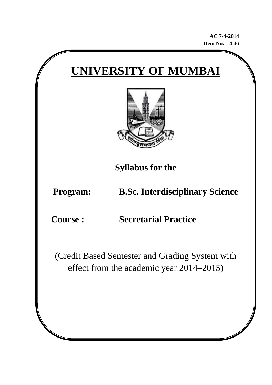**AC 7-4-2014 Item No. – 4.46**





**Syllabus for the** 

**Program: B.Sc. Interdisciplinary Science** 

**Course : Secretarial Practice**

(Credit Based Semester and Grading System with effect from the academic year 2014–2015)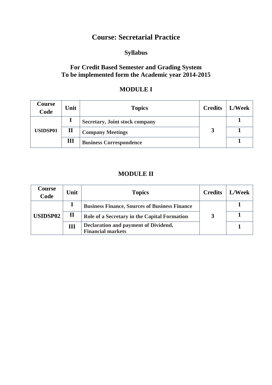## **Course: Secretarial Practice**

## **Syllabus**

#### **For Credit Based Semester and Grading System To be implemented form the Academic year 2014-2015**

### **MODULE I**

| Course<br>Code  | Unit         | <b>Topics</b>                         | <b>Credits</b> | <b>L/Week</b> |
|-----------------|--------------|---------------------------------------|----------------|---------------|
|                 |              | <b>Secretary, Joint stock company</b> |                |               |
| <b>USIDSP01</b> | $\mathbf{I}$ | <b>Company Meetings</b>               |                |               |
|                 | Ш            | <b>Business Correspondence</b>        |                |               |

#### **MODULE II**

| Course<br>Code  | Unit        | <b>Topics</b>                                                    | <b>Credits</b> | <b>L/Week</b> |
|-----------------|-------------|------------------------------------------------------------------|----------------|---------------|
| <b>USIDSP02</b> |             | <b>Business Finance, Sources of Business Finance</b>             |                |               |
|                 | $\mathbf H$ | Role of a Secretary in the Capital Formation                     |                |               |
|                 | III         | Declaration and payment of Dividend,<br><b>Financial markets</b> |                |               |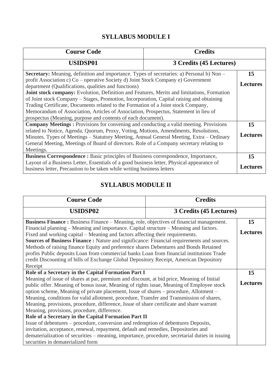## **SYLLABUS MODULE I**

| <b>Course Code</b>                                                                                                                        | <b>Credits</b> |                 |  |
|-------------------------------------------------------------------------------------------------------------------------------------------|----------------|-----------------|--|
| <b>USIDSP01</b><br>3 Credits (45 Lectures)                                                                                                |                |                 |  |
| Secretary: Meaning, definition and importance. Types of secretaries: a) Personal b) Non –                                                 |                | 15              |  |
| profit Association c) Co – operative Society d) Joint Stock Company e) Government<br>department (Qualifications, qualities and functions) |                |                 |  |
| <b>Joint stock company:</b> Evolution, Definition and Features, Merits and limitations, Formation                                         |                |                 |  |
| of Joint stock Company – Stages, Promotion, Incorporation, Capital raising and obtaining                                                  |                |                 |  |
| Trading Certificate, Documents related to the Formation of a Joint stock Company,                                                         |                |                 |  |
| Memorandum of Association, Articles of Association, Prospectus, Statement in lieu of                                                      |                |                 |  |
| prospectus (Meaning, purpose and contents of each document).                                                                              |                |                 |  |
| <b>Company Meetings:</b> Provisions for convening and conducting a valid meeting. Provisions                                              |                |                 |  |
| related to Notice, Agenda, Quorum, Proxy, Voting, Motions, Amendments, Resolutions,                                                       |                |                 |  |
| Minutes. Types of Meetings – Statutory Meeting, Annual General Meeting, Extra – Ordinary                                                  |                | <b>Lectures</b> |  |
| General Meeting, Meetings of Board of directors. Role of a Company secretary relating to                                                  |                |                 |  |
| Meetings.                                                                                                                                 |                |                 |  |
| <b>Business Correspondence :</b> Basic principles of Business correspondence, Importance,                                                 |                | 15              |  |
| Layout of a Business Letter, Essentials of a good business letter, Physical appearance of                                                 |                |                 |  |
| business letter, Precaution to be taken while writing business letters                                                                    |                | <b>Lectures</b> |  |

# **SYLLABUS MODULE II**

| <b>Course Code</b>                                                                                                                                                                                                                                                                                                                                                                                                                                                                                                                                                                                                                                                                                                                                                                                                                                                                                | <b>Credits</b> |    |
|---------------------------------------------------------------------------------------------------------------------------------------------------------------------------------------------------------------------------------------------------------------------------------------------------------------------------------------------------------------------------------------------------------------------------------------------------------------------------------------------------------------------------------------------------------------------------------------------------------------------------------------------------------------------------------------------------------------------------------------------------------------------------------------------------------------------------------------------------------------------------------------------------|----------------|----|
| <b>USIDSP02</b><br>3 Credits (45 Lectures)                                                                                                                                                                                                                                                                                                                                                                                                                                                                                                                                                                                                                                                                                                                                                                                                                                                        |                |    |
| Business Finance: Business Finance – Meaning, role, objectives of financial management.<br>Financial planning – Meaning and importance. Capital structure – Meaning and factors.<br>Fixed and working capital – Meaning and factors affecting their requirements.<br><b>Sources of Business Finance:</b> Nature and significance: Financial requirements and sources.<br>Methods of raising finance Equity and preference shares Debentures and Bonds Retained<br>profits Public deposits Loan from commercial banks Loan from financial institutions Trade<br>credit Discounting of bills of Exchange Global Depository Receipt, American Depository<br>Receipt                                                                                                                                                                                                                                  |                |    |
| Role of a Secretary in the Capital Formation Part I                                                                                                                                                                                                                                                                                                                                                                                                                                                                                                                                                                                                                                                                                                                                                                                                                                               |                | 15 |
| Meaning of issue of shares at par, premium and discount, at bid price, Meaning of Initial<br>public offer. Meaning of bonus issue, Meaning of rights issue, Meaning of Employee stock<br>option scheme, Meaning of private placement, Issue of shares – procedure, Allotment –<br>Meaning, conditions for valid allotment, procedure, Transfer and Transmission of shares,<br>Meaning, provisions, procedure, difference, Issue of share certificate and share warrant<br>Meaning, provisions, procedure, difference.<br>Role of a Secretary in the Capital Formation Part II<br>Issue of debentures – procedure, conversion and redemption of debentures Deposits,<br>invitation, acceptance, renewal, repayment, default and remedies, Depositories and<br>dematerialization of securities – meaning, importance, procedure, secretarial duties in issuing<br>securities in dematerialized form |                |    |